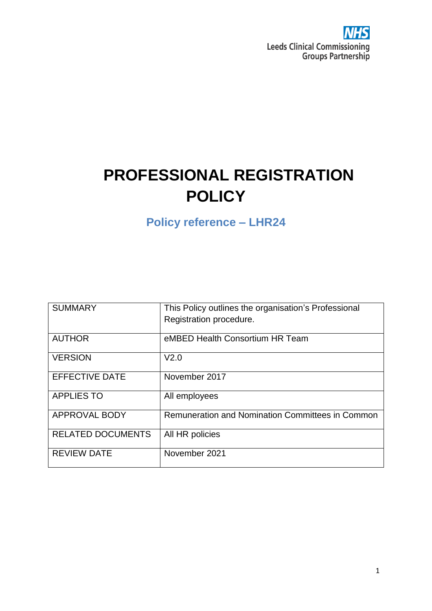

# **PROFESSIONAL REGISTRATION POLICY**

**Policy reference – LHR24**

| <b>SUMMARY</b>           | This Policy outlines the organisation's Professional<br>Registration procedure. |
|--------------------------|---------------------------------------------------------------------------------|
| <b>AUTHOR</b>            | eMBED Health Consortium HR Team                                                 |
| <b>VERSION</b>           | V <sub>2.0</sub>                                                                |
| <b>EFFECTIVE DATE</b>    | November 2017                                                                   |
| <b>APPLIES TO</b>        | All employees                                                                   |
| <b>APPROVAL BODY</b>     | Remuneration and Nomination Committees in Common                                |
| <b>RELATED DOCUMENTS</b> | All HR policies                                                                 |
| <b>REVIEW DATE</b>       | November 2021                                                                   |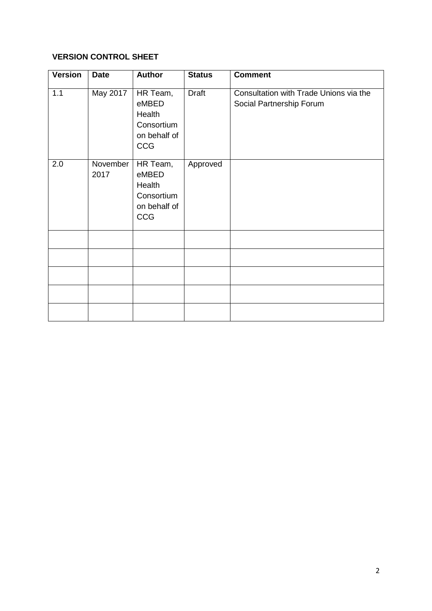#### **VERSION CONTROL SHEET**

| <b>Version</b> | <b>Date</b>        | <b>Author</b>                                                    | <b>Status</b> | <b>Comment</b>                                                     |
|----------------|--------------------|------------------------------------------------------------------|---------------|--------------------------------------------------------------------|
| 1.1            | May 2017           | HR Team,<br>eMBED<br>Health<br>Consortium<br>on behalf of<br>CCG | Draft         | Consultation with Trade Unions via the<br>Social Partnership Forum |
| 2.0            | November  <br>2017 | HR Team,<br>eMBED<br>Health<br>Consortium<br>on behalf of<br>CCG | Approved      |                                                                    |
|                |                    |                                                                  |               |                                                                    |
|                |                    |                                                                  |               |                                                                    |
|                |                    |                                                                  |               |                                                                    |
|                |                    |                                                                  |               |                                                                    |
|                |                    |                                                                  |               |                                                                    |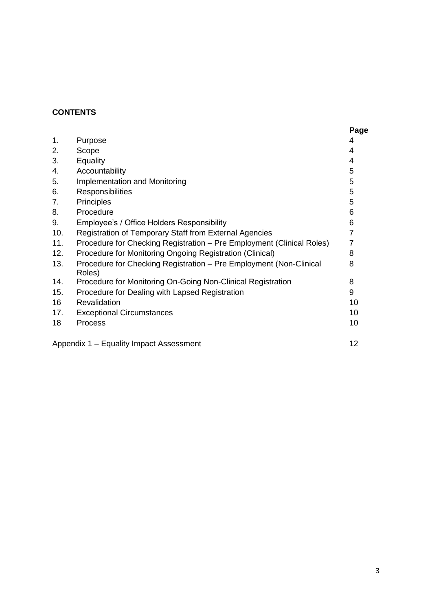# **CONTENTS**

|     |                                                                              | Page           |
|-----|------------------------------------------------------------------------------|----------------|
| 1.  | Purpose                                                                      | 4              |
| 2.  | Scope                                                                        | 4              |
| 3.  | <b>Equality</b>                                                              | 4              |
| 4.  | Accountability                                                               | 5              |
| 5.  | Implementation and Monitoring                                                | 5              |
| 6.  | Responsibilities                                                             | 5              |
| 7.  | Principles                                                                   | 5              |
| 8.  | Procedure                                                                    | 6              |
| 9.  | Employee's / Office Holders Responsibility                                   | 6              |
| 10. | Registration of Temporary Staff from External Agencies                       | $\overline{7}$ |
| 11. | Procedure for Checking Registration - Pre Employment (Clinical Roles)        | $\overline{7}$ |
| 12. | Procedure for Monitoring Ongoing Registration (Clinical)                     | 8              |
| 13. | Procedure for Checking Registration - Pre Employment (Non-Clinical<br>Roles) | 8              |
| 14. | Procedure for Monitoring On-Going Non-Clinical Registration                  | 8              |
| 15. | Procedure for Dealing with Lapsed Registration                               | 9              |
| 16  | Revalidation                                                                 | 10             |
| 17. | <b>Exceptional Circumstances</b>                                             | 10             |
| 18  | <b>Process</b>                                                               | 10             |
|     | Appendix 1 - Equality Impact Assessment                                      | 12             |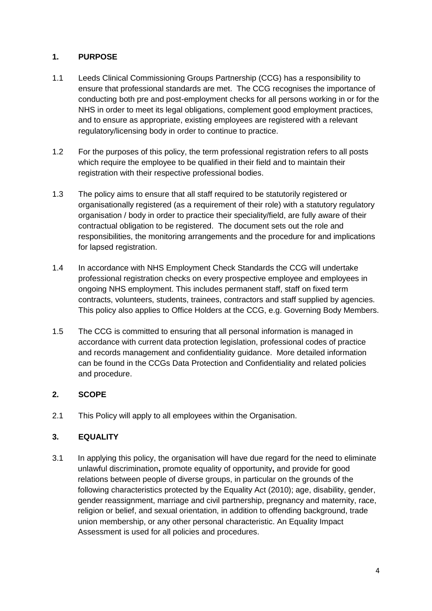### **1. PURPOSE**

- 1.1 Leeds Clinical Commissioning Groups Partnership (CCG) has a responsibility to ensure that professional standards are met. The CCG recognises the importance of conducting both pre and post-employment checks for all persons working in or for the NHS in order to meet its legal obligations, complement good employment practices, and to ensure as appropriate, existing employees are registered with a relevant regulatory/licensing body in order to continue to practice.
- 1.2 For the purposes of this policy, the term professional registration refers to all posts which require the employee to be qualified in their field and to maintain their registration with their respective professional bodies.
- 1.3 The policy aims to ensure that all staff required to be statutorily registered or organisationally registered (as a requirement of their role) with a statutory regulatory organisation / body in order to practice their speciality/field, are fully aware of their contractual obligation to be registered. The document sets out the role and responsibilities, the monitoring arrangements and the procedure for and implications for lapsed registration.
- 1.4 In accordance with NHS Employment Check Standards the CCG will undertake professional registration checks on every prospective employee and employees in ongoing NHS employment. This includes permanent staff, staff on fixed term contracts, volunteers, students, trainees, contractors and staff supplied by agencies. This policy also applies to Office Holders at the CCG, e.g. Governing Body Members.
- 1.5 The CCG is committed to ensuring that all personal information is managed in accordance with current data protection legislation, professional codes of practice and records management and confidentiality guidance. More detailed information can be found in the CCGs Data Protection and Confidentiality and related policies and procedure.

#### **2. SCOPE**

2.1 This Policy will apply to all employees within the Organisation.

## **3. EQUALITY**

3.1 In applying this policy, the organisation will have due regard for the need to eliminate unlawful discrimination**,** promote equality of opportunity**,** and provide for good relations between people of diverse groups, in particular on the grounds of the following characteristics protected by the Equality Act (2010); age, disability, gender, gender reassignment, marriage and civil partnership, pregnancy and maternity, race, religion or belief, and sexual orientation, in addition to offending background, trade union membership, or any other personal characteristic. An Equality Impact Assessment is used for all policies and procedures.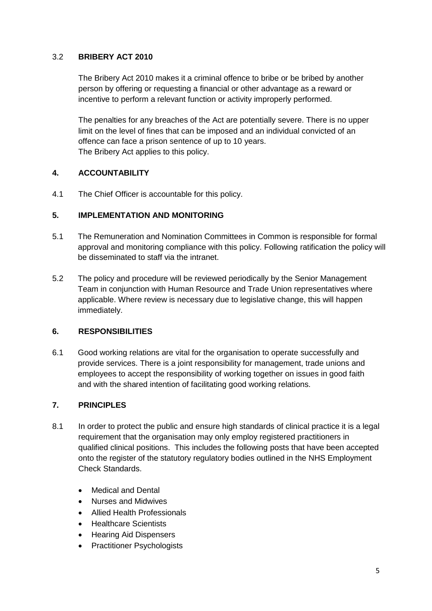#### 3.2 **BRIBERY ACT 2010**

The Bribery Act 2010 makes it a criminal offence to bribe or be bribed by another person by offering or requesting a financial or other advantage as a reward or incentive to perform a relevant function or activity improperly performed.

The penalties for any breaches of the Act are potentially severe. There is no upper limit on the level of fines that can be imposed and an individual convicted of an offence can face a prison sentence of up to 10 years. The Bribery Act applies to this policy.

#### **4. ACCOUNTABILITY**

4.1 The Chief Officer is accountable for this policy.

#### **5. IMPLEMENTATION AND MONITORING**

- 5.1 The Remuneration and Nomination Committees in Common is responsible for formal approval and monitoring compliance with this policy. Following ratification the policy will be disseminated to staff via the intranet.
- 5.2 The policy and procedure will be reviewed periodically by the Senior Management Team in conjunction with Human Resource and Trade Union representatives where applicable. Where review is necessary due to legislative change, this will happen immediately.

#### **6. RESPONSIBILITIES**

6.1 Good working relations are vital for the organisation to operate successfully and provide services. There is a joint responsibility for management, trade unions and employees to accept the responsibility of working together on issues in good faith and with the shared intention of facilitating good working relations.

#### **7. PRINCIPLES**

- 8.1 In order to protect the public and ensure high standards of clinical practice it is a legal requirement that the organisation may only employ registered practitioners in qualified clinical positions. This includes the following posts that have been accepted onto the register of the statutory regulatory bodies outlined in the NHS Employment Check Standards.
	- Medical and Dental
	- Nurses and Midwives
	- Allied Health Professionals
	- Healthcare Scientists
	- Hearing Aid Dispensers
	- Practitioner Psychologists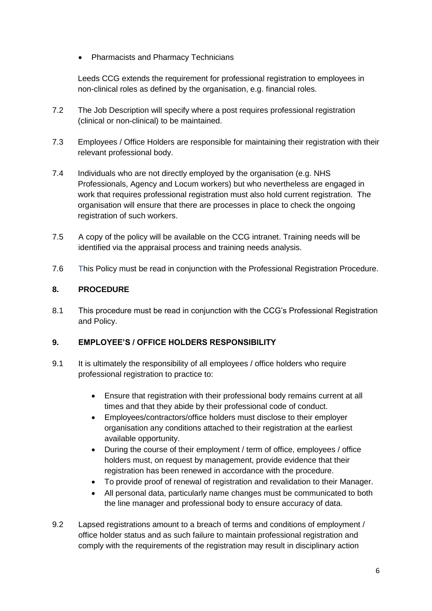Pharmacists and Pharmacy Technicians

Leeds CCG extends the requirement for professional registration to employees in non-clinical roles as defined by the organisation, e.g. financial roles.

- 7.2 The Job Description will specify where a post requires professional registration (clinical or non-clinical) to be maintained.
- 7.3 Employees / Office Holders are responsible for maintaining their registration with their relevant professional body.
- 7.4 Individuals who are not directly employed by the organisation (e.g. NHS Professionals, Agency and Locum workers) but who nevertheless are engaged in work that requires professional registration must also hold current registration. The organisation will ensure that there are processes in place to check the ongoing registration of such workers.
- 7.5 A copy of the policy will be available on the CCG intranet. Training needs will be identified via the appraisal process and training needs analysis.
- 7.6This Policy must be read in conjunction with the Professional Registration Procedure.

### **8. PROCEDURE**

8.1 This procedure must be read in conjunction with the CCG's Professional Registration and Policy.

## **9. EMPLOYEE'S / OFFICE HOLDERS RESPONSIBILITY**

- 9.1 It is ultimately the responsibility of all employees / office holders who require professional registration to practice to:
	- Ensure that registration with their professional body remains current at all times and that they abide by their professional code of conduct.
	- Employees/contractors/office holders must disclose to their employer organisation any conditions attached to their registration at the earliest available opportunity.
	- During the course of their employment / term of office, employees / office holders must, on request by management, provide evidence that their registration has been renewed in accordance with the procedure.
	- To provide proof of renewal of registration and revalidation to their Manager.
	- All personal data, particularly name changes must be communicated to both the line manager and professional body to ensure accuracy of data.
- 9.2 Lapsed registrations amount to a breach of terms and conditions of employment / office holder status and as such failure to maintain professional registration and comply with the requirements of the registration may result in disciplinary action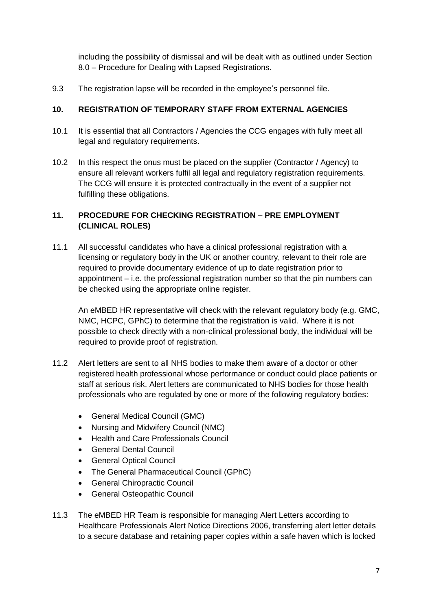including the possibility of dismissal and will be dealt with as outlined under Section 8.0 – Procedure for Dealing with Lapsed Registrations.

9.3 The registration lapse will be recorded in the employee's personnel file.

#### **10. REGISTRATION OF TEMPORARY STAFF FROM EXTERNAL AGENCIES**

- 10.1 It is essential that all Contractors / Agencies the CCG engages with fully meet all legal and regulatory requirements.
- 10.2 In this respect the onus must be placed on the supplier (Contractor / Agency) to ensure all relevant workers fulfil all legal and regulatory registration requirements. The CCG will ensure it is protected contractually in the event of a supplier not fulfilling these obligations.

#### **11. PROCEDURE FOR CHECKING REGISTRATION – PRE EMPLOYMENT (CLINICAL ROLES)**

11.1 All successful candidates who have a clinical professional registration with a licensing or regulatory body in the UK or another country, relevant to their role are required to provide documentary evidence of up to date registration prior to appointment – i.e. the professional registration number so that the pin numbers can be checked using the appropriate online register.

An eMBED HR representative will check with the relevant regulatory body (e.g. GMC, NMC, HCPC, GPhC) to determine that the registration is valid. Where it is not possible to check directly with a non-clinical professional body, the individual will be required to provide proof of registration.

- 11.2 Alert letters are sent to all NHS bodies to make them aware of a doctor or other registered health professional whose performance or conduct could place patients or staff at serious risk. Alert letters are communicated to NHS bodies for those health professionals who are regulated by one or more of the following regulatory bodies:
	- General Medical Council (GMC)
	- Nursing and Midwifery Council (NMC)
	- Health and Care Professionals Council
	- General Dental Council
	- General Optical Council
	- The General Pharmaceutical Council (GPhC)
	- General Chiropractic Council
	- General Osteopathic Council
- 11.3 The eMBED HR Team is responsible for managing Alert Letters according to Healthcare Professionals Alert Notice Directions 2006, transferring alert letter details to a secure database and retaining paper copies within a safe haven which is locked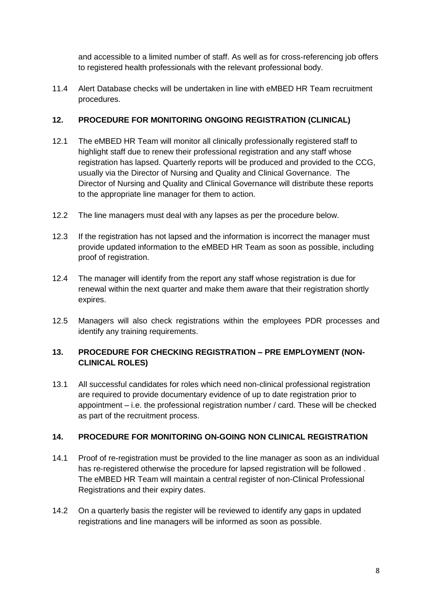and accessible to a limited number of staff. As well as for cross-referencing job offers to registered health professionals with the relevant professional body.

11.4 Alert Database checks will be undertaken in line with eMBED HR Team recruitment procedures.

#### **12. PROCEDURE FOR MONITORING ONGOING REGISTRATION (CLINICAL)**

- 12.1 The eMBED HR Team will monitor all clinically professionally registered staff to highlight staff due to renew their professional registration and any staff whose registration has lapsed. Quarterly reports will be produced and provided to the CCG, usually via the Director of Nursing and Quality and Clinical Governance. The Director of Nursing and Quality and Clinical Governance will distribute these reports to the appropriate line manager for them to action.
- 12.2 The line managers must deal with any lapses as per the procedure below.
- 12.3 If the registration has not lapsed and the information is incorrect the manager must provide updated information to the eMBED HR Team as soon as possible, including proof of registration.
- 12.4 The manager will identify from the report any staff whose registration is due for renewal within the next quarter and make them aware that their registration shortly expires.
- 12.5 Managers will also check registrations within the employees PDR processes and identify any training requirements.

#### **13. PROCEDURE FOR CHECKING REGISTRATION – PRE EMPLOYMENT (NON-CLINICAL ROLES)**

13.1 All successful candidates for roles which need non-clinical professional registration are required to provide documentary evidence of up to date registration prior to appointment – i.e. the professional registration number / card. These will be checked as part of the recruitment process.

### **14. PROCEDURE FOR MONITORING ON-GOING NON CLINICAL REGISTRATION**

- 14.1 Proof of re-registration must be provided to the line manager as soon as an individual has re-registered otherwise the procedure for lapsed registration will be followed . The eMBED HR Team will maintain a central register of non-Clinical Professional Registrations and their expiry dates.
- 14.2 On a quarterly basis the register will be reviewed to identify any gaps in updated registrations and line managers will be informed as soon as possible.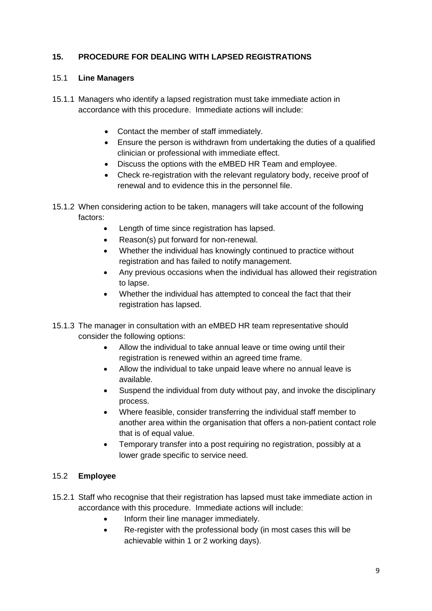## **15. PROCEDURE FOR DEALING WITH LAPSED REGISTRATIONS**

#### 15.1 **Line Managers**

- 15.1.1 Managers who identify a lapsed registration must take immediate action in accordance with this procedure. Immediate actions will include:
	- Contact the member of staff immediately.
	- Ensure the person is withdrawn from undertaking the duties of a qualified clinician or professional with immediate effect.
	- Discuss the options with the eMBED HR Team and employee.
	- Check re-registration with the relevant regulatory body, receive proof of renewal and to evidence this in the personnel file.
- 15.1.2 When considering action to be taken, managers will take account of the following factors:
	- Length of time since registration has lapsed.
	- Reason(s) put forward for non-renewal.
	- Whether the individual has knowingly continued to practice without registration and has failed to notify management.
	- Any previous occasions when the individual has allowed their registration to lapse.
	- Whether the individual has attempted to conceal the fact that their registration has lapsed.
- 15.1.3 The manager in consultation with an eMBED HR team representative should consider the following options:
	- Allow the individual to take annual leave or time owing until their registration is renewed within an agreed time frame.
	- Allow the individual to take unpaid leave where no annual leave is available.
	- Suspend the individual from duty without pay, and invoke the disciplinary process.
	- Where feasible, consider transferring the individual staff member to another area within the organisation that offers a non-patient contact role that is of equal value.
	- Temporary transfer into a post requiring no registration, possibly at a lower grade specific to service need.

#### 15.2 **Employee**

- 15.2.1 Staff who recognise that their registration has lapsed must take immediate action in accordance with this procedure. Immediate actions will include:
	- Inform their line manager immediately.
	- Re-register with the professional body (in most cases this will be achievable within 1 or 2 working days).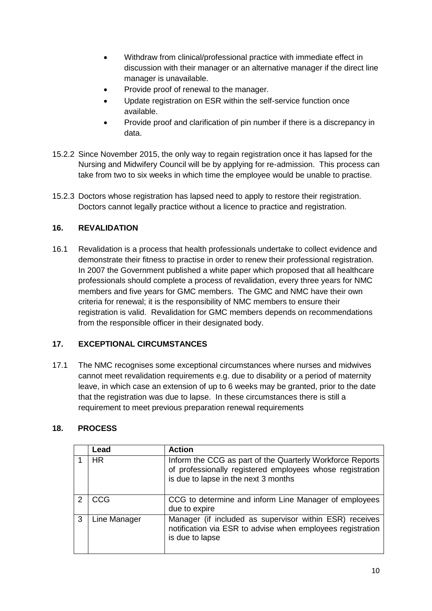- Withdraw from clinical/professional practice with immediate effect in discussion with their manager or an alternative manager if the direct line manager is unavailable.
- Provide proof of renewal to the manager.
- Update registration on ESR within the self-service function once available.
- Provide proof and clarification of pin number if there is a discrepancy in data.
- 15.2.2 Since November 2015, the only way to regain registration once it has lapsed for the Nursing and Midwifery Council will be by applying for re-admission. This process can take from two to six weeks in which time the employee would be unable to practise.
- 15.2.3 Doctors whose registration has lapsed need to apply to restore their registration. Doctors cannot legally practice without a licence to practice and registration.

### **16. REVALIDATION**

16.1 Revalidation is a process that health professionals undertake to collect evidence and demonstrate their fitness to practise in order to renew their professional registration. In 2007 the Government published a white paper which proposed that all healthcare professionals should complete a process of revalidation, every three years for NMC members and five years for GMC members. The GMC and NMC have their own criteria for renewal; it is the responsibility of NMC members to ensure their registration is valid. Revalidation for GMC members depends on recommendations from the responsible officer in their designated body.

#### **17. EXCEPTIONAL CIRCUMSTANCES**

17.1 The NMC recognises some exceptional circumstances where nurses and midwives cannot meet revalidation requirements e.g. due to disability or a period of maternity leave, in which case an extension of up to 6 weeks may be granted, prior to the date that the registration was due to lapse. In these circumstances there is still a requirement to meet previous preparation renewal requirements

#### **18. PROCESS**

|   | Lead         | <b>Action</b>                                                                                                                                                  |
|---|--------------|----------------------------------------------------------------------------------------------------------------------------------------------------------------|
|   | HR.          | Inform the CCG as part of the Quarterly Workforce Reports<br>of professionally registered employees whose registration<br>is due to lapse in the next 3 months |
| 2 | <b>CCG</b>   | CCG to determine and inform Line Manager of employees<br>due to expire                                                                                         |
| 3 | Line Manager | Manager (if included as supervisor within ESR) receives<br>notification via ESR to advise when employees registration<br>is due to lapse                       |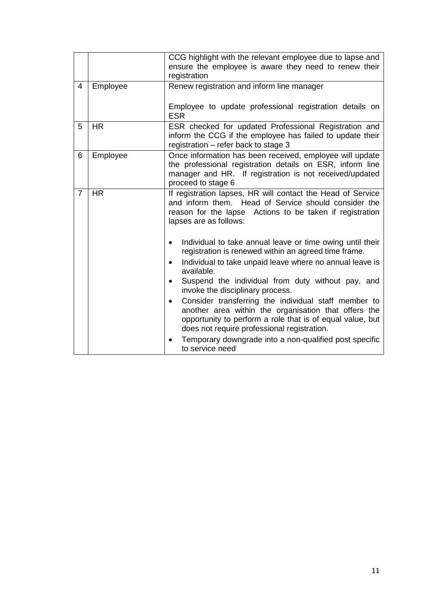|   |           | CCG highlight with the relevant employee due to lapse and<br>ensure the employee is aware they need to renew their<br>registration                                                                                                                                                                                                                                                                                                                                                                                                                                                                                   |  |  |  |
|---|-----------|----------------------------------------------------------------------------------------------------------------------------------------------------------------------------------------------------------------------------------------------------------------------------------------------------------------------------------------------------------------------------------------------------------------------------------------------------------------------------------------------------------------------------------------------------------------------------------------------------------------------|--|--|--|
| 4 | Employee  | Renew registration and inform line manager<br>Employee to update professional registration details on<br><b>ESR</b>                                                                                                                                                                                                                                                                                                                                                                                                                                                                                                  |  |  |  |
| 5 | <b>HR</b> | ESR checked for updated Professional Registration and<br>inform the CCG if the employee has failed to update their<br>registration - refer back to stage 3                                                                                                                                                                                                                                                                                                                                                                                                                                                           |  |  |  |
| 6 | Employee  | Once information has been received, employee will update<br>the professional registration details on ESR, inform line<br>manager and HR. If registration is not received/updated<br>proceed to stage 6                                                                                                                                                                                                                                                                                                                                                                                                               |  |  |  |
| 7 | <b>HR</b> | If registration lapses, HR will contact the Head of Service<br>and inform them. Head of Service should consider the<br>reason for the lapse Actions to be taken if registration<br>lapses are as follows:                                                                                                                                                                                                                                                                                                                                                                                                            |  |  |  |
|   |           | Individual to take annual leave or time owing until their<br>registration is renewed within an agreed time frame.<br>Individual to take unpaid leave where no annual leave is<br>٠<br>available.<br>Suspend the individual from duty without pay, and<br>٠<br>invoke the disciplinary process.<br>Consider transferring the individual staff member to<br>$\bullet$<br>another area within the organisation that offers the<br>opportunity to perform a role that is of equal value, but<br>does not require professional registration.<br>Temporary downgrade into a non-qualified post specific<br>to service need |  |  |  |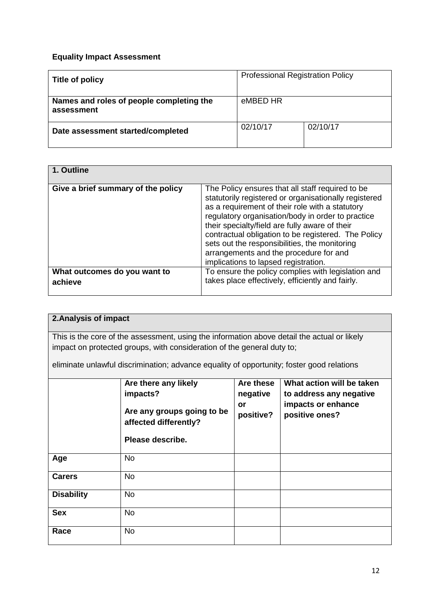## **Equality Impact Assessment**

| Title of policy                                        | <b>Professional Registration Policy</b> |          |  |
|--------------------------------------------------------|-----------------------------------------|----------|--|
| Names and roles of people completing the<br>assessment | eMBED HR                                |          |  |
| Date assessment started/completed                      | 02/10/17                                | 02/10/17 |  |

| 1. Outline                              |                                                                                                                                                                                                                                                                                                                                                                                                                                                               |
|-----------------------------------------|---------------------------------------------------------------------------------------------------------------------------------------------------------------------------------------------------------------------------------------------------------------------------------------------------------------------------------------------------------------------------------------------------------------------------------------------------------------|
| Give a brief summary of the policy      | The Policy ensures that all staff required to be<br>statutorily registered or organisationally registered<br>as a requirement of their role with a statutory<br>regulatory organisation/body in order to practice<br>their specialty/field are fully aware of their<br>contractual obligation to be registered. The Policy<br>sets out the responsibilities, the monitoring<br>arrangements and the procedure for and<br>implications to lapsed registration. |
| What outcomes do you want to<br>achieve | To ensure the policy complies with legislation and<br>takes place effectively, efficiently and fairly.                                                                                                                                                                                                                                                                                                                                                        |
|                                         |                                                                                                                                                                                                                                                                                                                                                                                                                                                               |

## **2.Analysis of impact**

This is the core of the assessment, using the information above detail the actual or likely impact on protected groups, with consideration of the general duty to;

eliminate unlawful discrimination; advance equality of opportunity; foster good relations

|                   | Are there any likely<br>impacts?<br>Are any groups going to be<br>affected differently?<br>Please describe. | Are these<br>negative<br>or<br>positive? | What action will be taken<br>to address any negative<br>impacts or enhance<br>positive ones? |
|-------------------|-------------------------------------------------------------------------------------------------------------|------------------------------------------|----------------------------------------------------------------------------------------------|
| Age               | <b>No</b>                                                                                                   |                                          |                                                                                              |
| <b>Carers</b>     | <b>No</b>                                                                                                   |                                          |                                                                                              |
| <b>Disability</b> | <b>No</b>                                                                                                   |                                          |                                                                                              |
| <b>Sex</b>        | <b>No</b>                                                                                                   |                                          |                                                                                              |
| Race              | <b>No</b>                                                                                                   |                                          |                                                                                              |